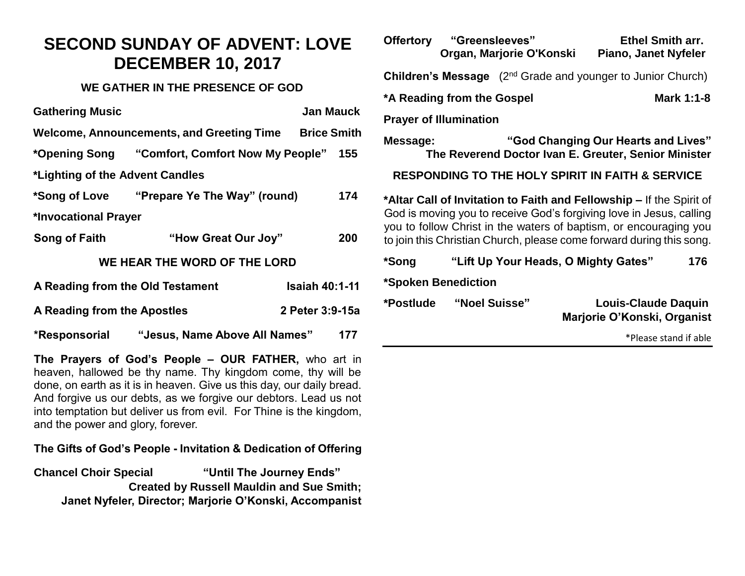## **SECOND SUNDAY OF ADVENT: LOVE DECEMBER 10, 2017**

#### **WE GATHER IN THE PRESENCE OF GOD**

| <b>Gathering Music</b>                         |                                            | Jan Mauck             |     |  |  |  |
|------------------------------------------------|--------------------------------------------|-----------------------|-----|--|--|--|
| Welcome, Announcements, and Greeting Time      |                                            | <b>Brice Smith</b>    |     |  |  |  |
|                                                |                                            |                       | 155 |  |  |  |
| *Lighting of the Advent Candles                |                                            |                       |     |  |  |  |
|                                                | *Song of Love "Prepare Ye The Way" (round) |                       | 174 |  |  |  |
| *Invocational Prayer                           |                                            |                       |     |  |  |  |
| Song of Faith                                  | "How Great Our Joy"                        |                       | 200 |  |  |  |
|                                                | WE HEAR THE WORD OF THE LORD               |                       |     |  |  |  |
| A Reading from the Old Testament               |                                            | <b>Isaiah 40:1-11</b> |     |  |  |  |
| A Reading from the Apostles<br>2 Peter 3:9-15a |                                            |                       |     |  |  |  |
| *Responsorial                                  | "Jesus, Name Above All Names"              |                       | 177 |  |  |  |

**The Prayers of God's People – OUR FATHER,** who art in heaven, hallowed be thy name. Thy kingdom come, thy will be done, on earth as it is in heaven. Give us this day, our daily bread. And forgive us our debts, as we forgive our debtors. Lead us not into temptation but deliver us from evil. For Thine is the kingdom, and the power and glory, forever.

### **The Gifts of God's People - Invitation & Dedication of Offering**

**Chancel Choir Special "Until The Journey Ends" Created by Russell Mauldin and Sue Smith; Janet Nyfeler, Director; Marjorie O'Konski, Accompanist**

| Offertory "Greensleeves"                                                                                                                                                                                                                                                                 |               | Organ, Marjorie O'Konski | Piano, Janet Nyfeler                                      | <b>Ethel Smith arr.</b> |  |
|------------------------------------------------------------------------------------------------------------------------------------------------------------------------------------------------------------------------------------------------------------------------------------------|---------------|--------------------------|-----------------------------------------------------------|-------------------------|--|
| <b>Children's Message</b> (2 <sup>nd</sup> Grade and younger to Junior Church)                                                                                                                                                                                                           |               |                          |                                                           |                         |  |
| *A Reading from the Gospel                                                                                                                                                                                                                                                               |               |                          | <b>Mark 1:1-8</b>                                         |                         |  |
| <b>Prayer of Illumination</b>                                                                                                                                                                                                                                                            |               |                          |                                                           |                         |  |
| "God Changing Our Hearts and Lives"<br>Message:<br>The Reverend Doctor Ivan E. Greuter, Senior Minister                                                                                                                                                                                  |               |                          |                                                           |                         |  |
| <b>RESPONDING TO THE HOLY SPIRIT IN FAITH &amp; SERVICE</b>                                                                                                                                                                                                                              |               |                          |                                                           |                         |  |
| *Altar Call of Invitation to Faith and Fellowship – If the Spirit of<br>God is moving you to receive God's forgiving love in Jesus, calling<br>you to follow Christ in the waters of baptism, or encouraging you<br>to join this Christian Church, please come forward during this song. |               |                          |                                                           |                         |  |
| *Song                                                                                                                                                                                                                                                                                    |               |                          | "Lift Up Your Heads, O Mighty Gates"                      | 176                     |  |
| *Spoken Benediction                                                                                                                                                                                                                                                                      |               |                          |                                                           |                         |  |
| *Postlude                                                                                                                                                                                                                                                                                | "Noel Suisse" |                          | <b>Louis-Claude Daquin</b><br>Marjorie O'Konski, Organist |                         |  |
|                                                                                                                                                                                                                                                                                          |               |                          |                                                           | *Please stand if able   |  |